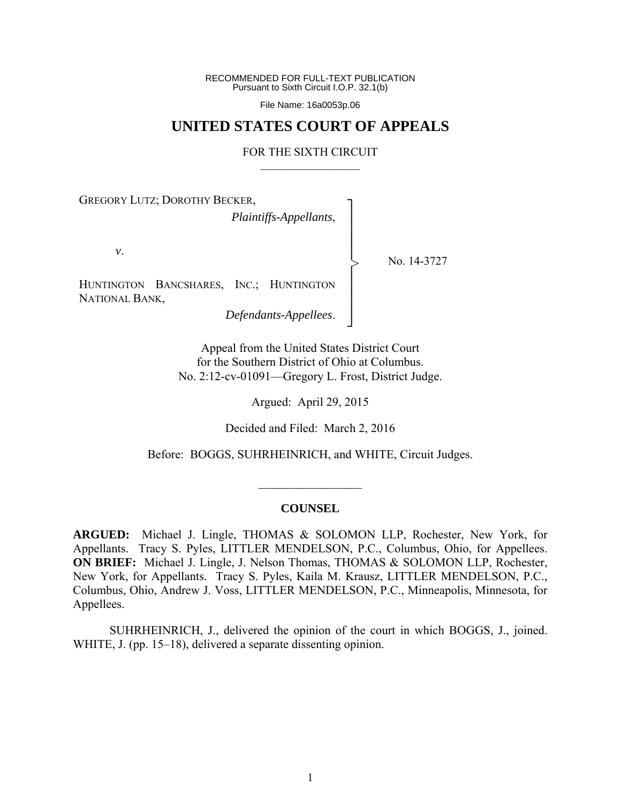RECOMMENDED FOR FULL-TEXT PUBLICATION Pursuant to Sixth Circuit I.O.P. 32.1(b)

File Name: 16a0053p.06

## **UNITED STATES COURT OF APPEALS**

#### FOR THE SIXTH CIRCUIT  $\mathcal{L}_\text{max}$

┐ │ │ │ │ │ │ │ │ ┘

>

GREGORY LUTZ; DOROTHY BECKER,

*Plaintiffs-Appellants*,

*v*.

No. 14-3727

HUNTINGTON BANCSHARES, INC.; HUNTINGTON NATIONAL BANK,

*Defendants-Appellees*.

Appeal from the United States District Court for the Southern District of Ohio at Columbus. No. 2:12-cv-01091—Gregory L. Frost, District Judge.

Argued: April 29, 2015

Decided and Filed: March 2, 2016

Before: BOGGS, SUHRHEINRICH, and WHITE, Circuit Judges.

#### **COUNSEL**

 $\frac{1}{2}$ 

**ARGUED:** Michael J. Lingle, THOMAS & SOLOMON LLP, Rochester, New York, for Appellants. Tracy S. Pyles, LITTLER MENDELSON, P.C., Columbus, Ohio, for Appellees. **ON BRIEF:** Michael J. Lingle, J. Nelson Thomas, THOMAS & SOLOMON LLP, Rochester, New York, for Appellants. Tracy S. Pyles, Kaila M. Krausz, LITTLER MENDELSON, P.C., Columbus, Ohio, Andrew J. Voss, LITTLER MENDELSON, P.C., Minneapolis, Minnesota, for Appellees.

 SUHRHEINRICH, J., delivered the opinion of the court in which BOGGS, J., joined. WHITE, J. (pp. 15–18), delivered a separate dissenting opinion.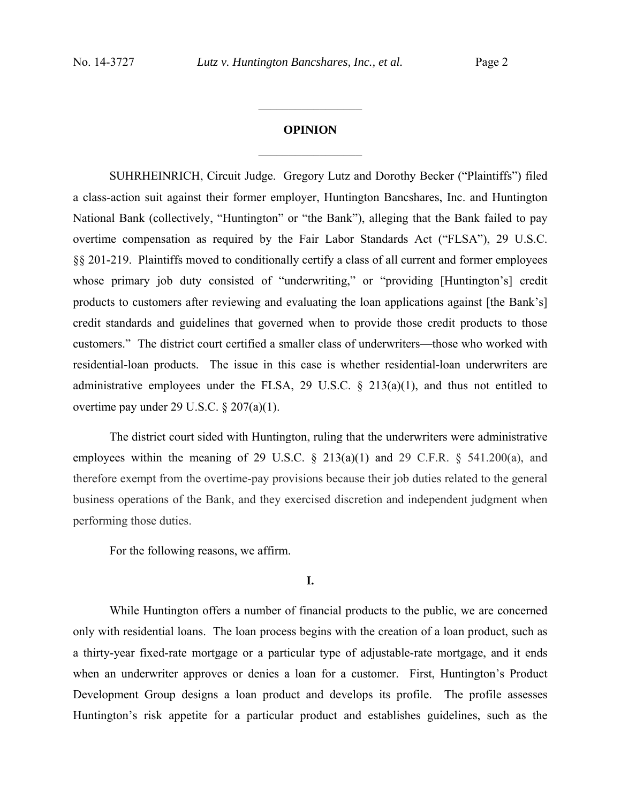# **OPINION**   $\frac{1}{2}$  ,  $\frac{1}{2}$  ,  $\frac{1}{2}$  ,  $\frac{1}{2}$  ,  $\frac{1}{2}$  ,  $\frac{1}{2}$  ,  $\frac{1}{2}$  ,  $\frac{1}{2}$

 $\frac{1}{2}$  ,  $\frac{1}{2}$  ,  $\frac{1}{2}$  ,  $\frac{1}{2}$  ,  $\frac{1}{2}$  ,  $\frac{1}{2}$  ,  $\frac{1}{2}$  ,  $\frac{1}{2}$ 

SUHRHEINRICH, Circuit Judge. Gregory Lutz and Dorothy Becker ("Plaintiffs") filed a class-action suit against their former employer, Huntington Bancshares, Inc. and Huntington National Bank (collectively, "Huntington" or "the Bank"), alleging that the Bank failed to pay overtime compensation as required by the Fair Labor Standards Act ("FLSA"), 29 U.S.C. §§ 201-219. Plaintiffs moved to conditionally certify a class of all current and former employees whose primary job duty consisted of "underwriting," or "providing [Huntington's] credit products to customers after reviewing and evaluating the loan applications against [the Bank's] credit standards and guidelines that governed when to provide those credit products to those customers." The district court certified a smaller class of underwriters—those who worked with residential-loan products. The issue in this case is whether residential-loan underwriters are administrative employees under the FLSA, 29 U.S.C.  $\S$  213(a)(1), and thus not entitled to overtime pay under 29 U.S.C. § 207(a)(1).

The district court sided with Huntington, ruling that the underwriters were administrative employees within the meaning of 29 U.S.C.  $\S$  213(a)(1) and 29 C.F.R.  $\S$  541.200(a), and therefore exempt from the overtime-pay provisions because their job duties related to the general business operations of the Bank, and they exercised discretion and independent judgment when performing those duties.

For the following reasons, we affirm.

**I.**

While Huntington offers a number of financial products to the public, we are concerned only with residential loans. The loan process begins with the creation of a loan product, such as a thirty-year fixed-rate mortgage or a particular type of adjustable-rate mortgage, and it ends when an underwriter approves or denies a loan for a customer. First, Huntington's Product Development Group designs a loan product and develops its profile. The profile assesses Huntington's risk appetite for a particular product and establishes guidelines, such as the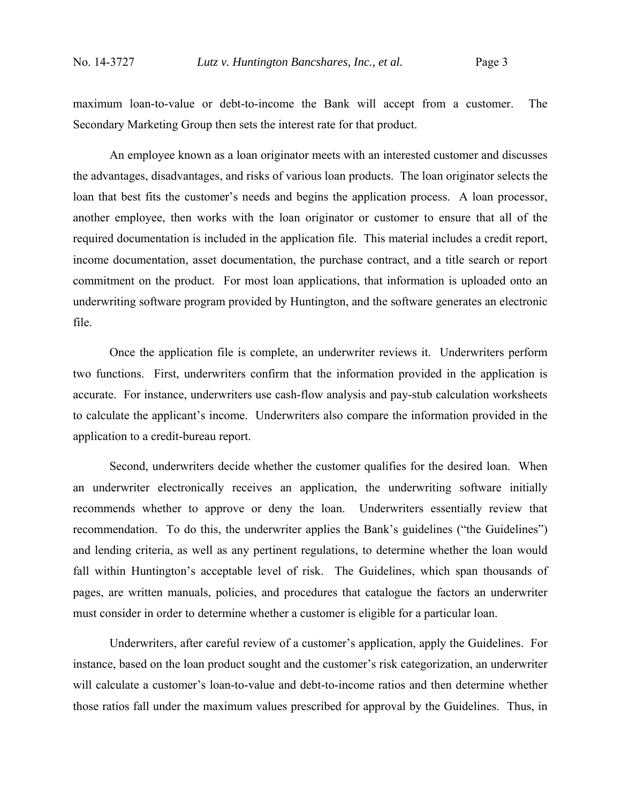maximum loan-to-value or debt-to-income the Bank will accept from a customer. The Secondary Marketing Group then sets the interest rate for that product.

An employee known as a loan originator meets with an interested customer and discusses the advantages, disadvantages, and risks of various loan products. The loan originator selects the loan that best fits the customer's needs and begins the application process. A loan processor, another employee, then works with the loan originator or customer to ensure that all of the required documentation is included in the application file. This material includes a credit report, income documentation, asset documentation, the purchase contract, and a title search or report commitment on the product. For most loan applications, that information is uploaded onto an underwriting software program provided by Huntington, and the software generates an electronic file.

Once the application file is complete, an underwriter reviews it. Underwriters perform two functions. First, underwriters confirm that the information provided in the application is accurate. For instance, underwriters use cash-flow analysis and pay-stub calculation worksheets to calculate the applicant's income. Underwriters also compare the information provided in the application to a credit-bureau report.

 Second, underwriters decide whether the customer qualifies for the desired loan. When an underwriter electronically receives an application, the underwriting software initially recommends whether to approve or deny the loan. Underwriters essentially review that recommendation. To do this, the underwriter applies the Bank's guidelines ("the Guidelines") and lending criteria, as well as any pertinent regulations, to determine whether the loan would fall within Huntington's acceptable level of risk. The Guidelines, which span thousands of pages, are written manuals, policies, and procedures that catalogue the factors an underwriter must consider in order to determine whether a customer is eligible for a particular loan.

Underwriters, after careful review of a customer's application, apply the Guidelines. For instance, based on the loan product sought and the customer's risk categorization, an underwriter will calculate a customer's loan-to-value and debt-to-income ratios and then determine whether those ratios fall under the maximum values prescribed for approval by the Guidelines. Thus, in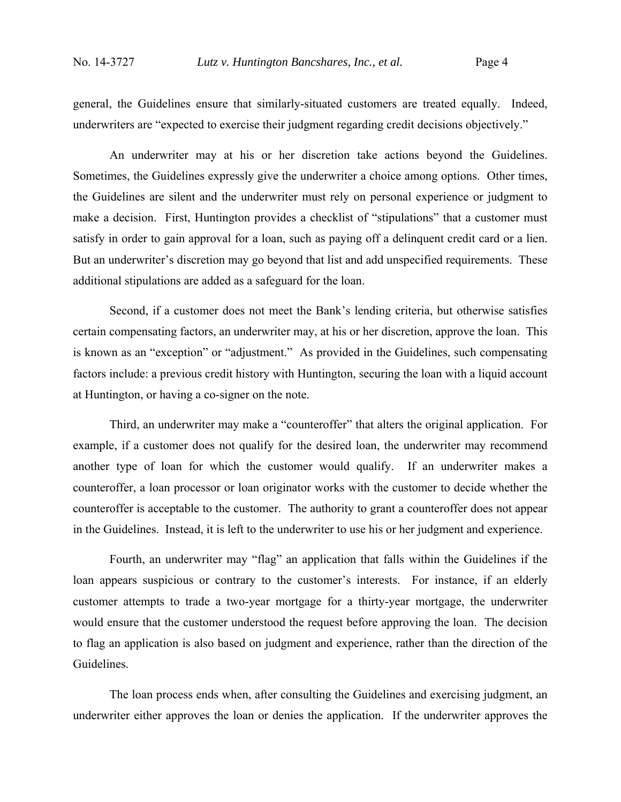general, the Guidelines ensure that similarly-situated customers are treated equally. Indeed, underwriters are "expected to exercise their judgment regarding credit decisions objectively."

An underwriter may at his or her discretion take actions beyond the Guidelines. Sometimes, the Guidelines expressly give the underwriter a choice among options. Other times, the Guidelines are silent and the underwriter must rely on personal experience or judgment to make a decision. First, Huntington provides a checklist of "stipulations" that a customer must satisfy in order to gain approval for a loan, such as paying off a delinquent credit card or a lien. But an underwriter's discretion may go beyond that list and add unspecified requirements. These additional stipulations are added as a safeguard for the loan.

Second, if a customer does not meet the Bank's lending criteria, but otherwise satisfies certain compensating factors, an underwriter may, at his or her discretion, approve the loan. This is known as an "exception" or "adjustment." As provided in the Guidelines, such compensating factors include: a previous credit history with Huntington, securing the loan with a liquid account at Huntington, or having a co-signer on the note.

Third, an underwriter may make a "counteroffer" that alters the original application. For example, if a customer does not qualify for the desired loan, the underwriter may recommend another type of loan for which the customer would qualify. If an underwriter makes a counteroffer, a loan processor or loan originator works with the customer to decide whether the counteroffer is acceptable to the customer. The authority to grant a counteroffer does not appear in the Guidelines. Instead, it is left to the underwriter to use his or her judgment and experience.

Fourth, an underwriter may "flag" an application that falls within the Guidelines if the loan appears suspicious or contrary to the customer's interests. For instance, if an elderly customer attempts to trade a two-year mortgage for a thirty-year mortgage, the underwriter would ensure that the customer understood the request before approving the loan. The decision to flag an application is also based on judgment and experience, rather than the direction of the Guidelines.

The loan process ends when, after consulting the Guidelines and exercising judgment, an underwriter either approves the loan or denies the application. If the underwriter approves the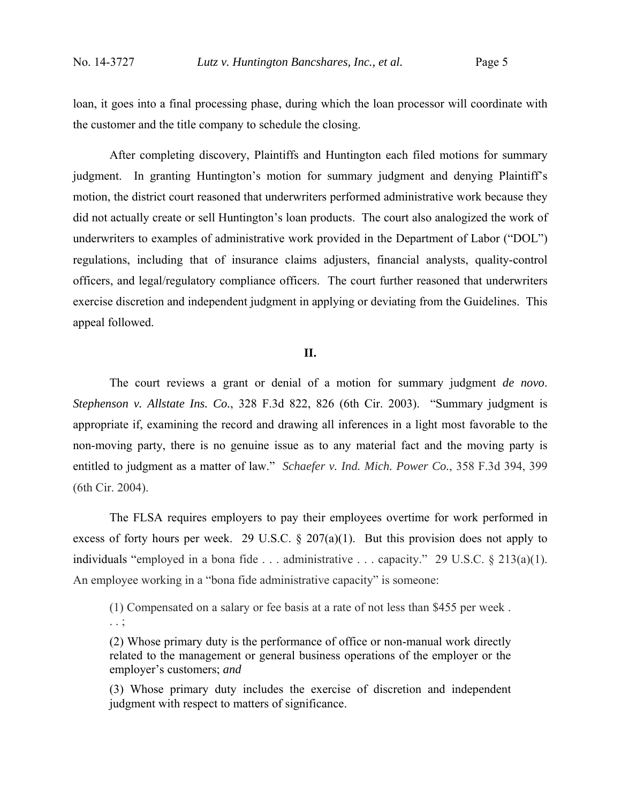loan, it goes into a final processing phase, during which the loan processor will coordinate with the customer and the title company to schedule the closing.

 After completing discovery, Plaintiffs and Huntington each filed motions for summary judgment. In granting Huntington's motion for summary judgment and denying Plaintiff's motion, the district court reasoned that underwriters performed administrative work because they did not actually create or sell Huntington's loan products. The court also analogized the work of underwriters to examples of administrative work provided in the Department of Labor ("DOL") regulations, including that of insurance claims adjusters, financial analysts, quality-control officers, and legal/regulatory compliance officers. The court further reasoned that underwriters exercise discretion and independent judgment in applying or deviating from the Guidelines. This appeal followed.

### **II.**

The court reviews a grant or denial of a motion for summary judgment *de novo*. *Stephenson v. Allstate Ins. Co.*, 328 F.3d 822, 826 (6th Cir. 2003). "Summary judgment is appropriate if, examining the record and drawing all inferences in a light most favorable to the non-moving party, there is no genuine issue as to any material fact and the moving party is entitled to judgment as a matter of law." *Schaefer v. Ind. Mich. Power Co.*, 358 F.3d 394, 399 (6th Cir. 2004).

The FLSA requires employers to pay their employees overtime for work performed in excess of forty hours per week. 29 U.S.C.  $\S$  207(a)(1). But this provision does not apply to individuals "employed in a bona fide . . . administrative . . . capacity." 29 U.S.C. § 213(a)(1). An employee working in a "bona fide administrative capacity" is someone:

(1) Compensated on a salary or fee basis at a rate of not less than \$455 per week . . . ;

(2) Whose primary duty is the performance of office or non-manual work directly related to the management or general business operations of the employer or the employer's customers; *and*

(3) Whose primary duty includes the exercise of discretion and independent judgment with respect to matters of significance.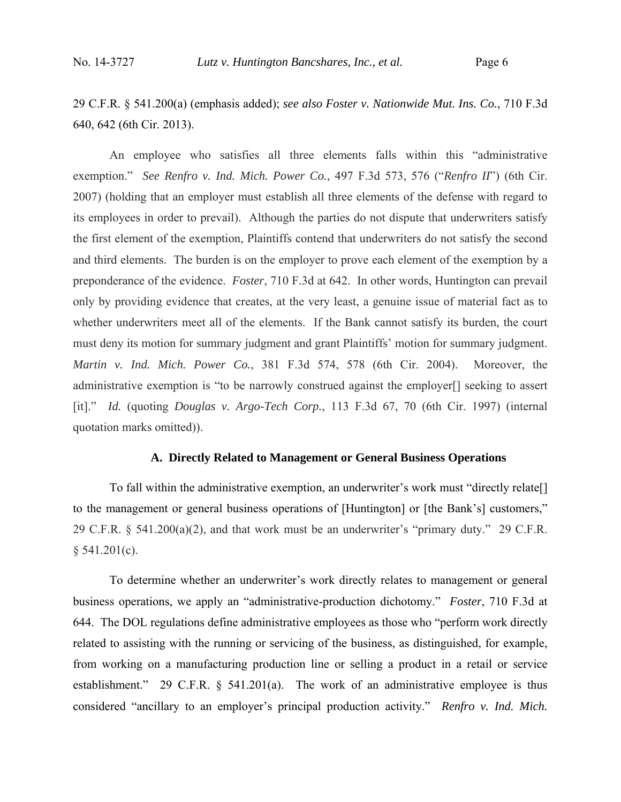29 C.F.R. § 541.200(a) (emphasis added); *see also Foster v. Nationwide Mut. Ins. Co.*, 710 F.3d 640, 642 (6th Cir. 2013).

An employee who satisfies all three elements falls within this "administrative exemption." *See Renfro v. Ind. Mich. Power Co.*, 497 F.3d 573, 576 ("*Renfro II*") (6th Cir. 2007) (holding that an employer must establish all three elements of the defense with regard to its employees in order to prevail). Although the parties do not dispute that underwriters satisfy the first element of the exemption, Plaintiffs contend that underwriters do not satisfy the second and third elements. The burden is on the employer to prove each element of the exemption by a preponderance of the evidence. *Foster*, 710 F.3d at 642. In other words, Huntington can prevail only by providing evidence that creates, at the very least, a genuine issue of material fact as to whether underwriters meet all of the elements. If the Bank cannot satisfy its burden, the court must deny its motion for summary judgment and grant Plaintiffs' motion for summary judgment. *Martin v. Ind. Mich. Power Co.*, 381 F.3d 574, 578 (6th Cir. 2004). Moreover, the administrative exemption is "to be narrowly construed against the employer[] seeking to assert [it]." *Id.* (quoting *Douglas v. Argo-Tech Corp.*, 113 F.3d 67, 70 (6th Cir. 1997) (internal quotation marks omitted)).

### **A. Directly Related to Management or General Business Operations**

To fall within the administrative exemption, an underwriter's work must "directly relate[] to the management or general business operations of [Huntington] or [the Bank's] customers," 29 C.F.R.  $\S$  541.200(a)(2), and that work must be an underwriter's "primary duty." 29 C.F.R.  $§ 541.201(c).$ 

To determine whether an underwriter's work directly relates to management or general business operations, we apply an "administrative-production dichotomy." *Foster*, 710 F.3d at 644. The DOL regulations define administrative employees as those who "perform work directly related to assisting with the running or servicing of the business, as distinguished, for example, from working on a manufacturing production line or selling a product in a retail or service establishment." 29 C.F.R. § 541.201(a). The work of an administrative employee is thus considered "ancillary to an employer's principal production activity." *Renfro v. Ind. Mich.*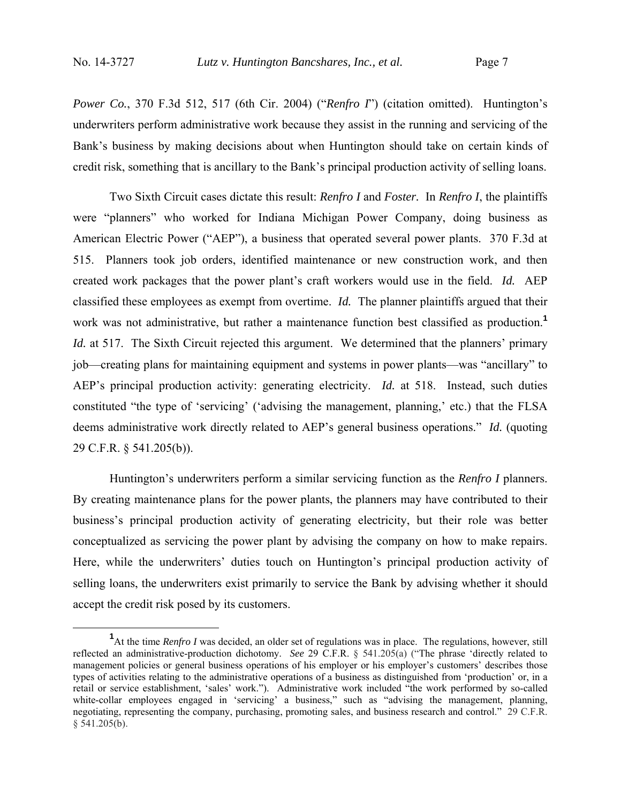*Power Co.*, 370 F.3d 512, 517 (6th Cir. 2004) ("*Renfro I*") (citation omitted). Huntington's underwriters perform administrative work because they assist in the running and servicing of the Bank's business by making decisions about when Huntington should take on certain kinds of credit risk, something that is ancillary to the Bank's principal production activity of selling loans.

Two Sixth Circuit cases dictate this result: *Renfro I* and *Foster.* In *Renfro I*, the plaintiffs were "planners" who worked for Indiana Michigan Power Company, doing business as American Electric Power ("AEP"), a business that operated several power plants. 370 F.3d at 515. Planners took job orders, identified maintenance or new construction work, and then created work packages that the power plant's craft workers would use in the field. *Id.* AEP classified these employees as exempt from overtime. *Id.* The planner plaintiffs argued that their work was not administrative, but rather a maintenance function best classified as production.**<sup>1</sup>** *Id.* at 517. The Sixth Circuit rejected this argument. We determined that the planners' primary job—creating plans for maintaining equipment and systems in power plants—was "ancillary" to AEP's principal production activity: generating electricity. *Id.* at 518. Instead, such duties constituted "the type of 'servicing' ('advising the management, planning,' etc.) that the FLSA deems administrative work directly related to AEP's general business operations." *Id.* (quoting 29 C.F.R. § 541.205(b)).

Huntington's underwriters perform a similar servicing function as the *Renfro I* planners. By creating maintenance plans for the power plants, the planners may have contributed to their business's principal production activity of generating electricity, but their role was better conceptualized as servicing the power plant by advising the company on how to make repairs. Here, while the underwriters' duties touch on Huntington's principal production activity of selling loans, the underwriters exist primarily to service the Bank by advising whether it should accept the credit risk posed by its customers.

 $\frac{1}{1}$ <sup>1</sup>At the time *Renfro I* was decided, an older set of regulations was in place. The regulations, however, still reflected an administrative-production dichotomy. *See* 29 C.F.R. § 541.205(a) ("The phrase 'directly related to management policies or general business operations of his employer or his employer's customers' describes those types of activities relating to the administrative operations of a business as distinguished from 'production' or, in a retail or service establishment, 'sales' work."). Administrative work included "the work performed by so-called white-collar employees engaged in 'servicing' a business," such as "advising the management, planning, negotiating, representing the company, purchasing, promoting sales, and business research and control." 29 C.F.R. § 541.205(b).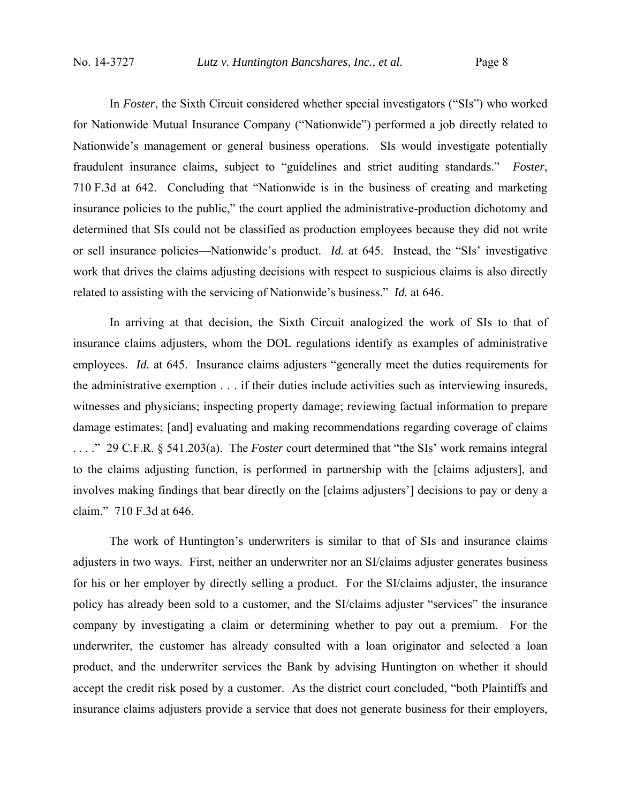In *Foster*, the Sixth Circuit considered whether special investigators ("SIs") who worked for Nationwide Mutual Insurance Company ("Nationwide") performed a job directly related to Nationwide's management or general business operations. SIs would investigate potentially fraudulent insurance claims, subject to "guidelines and strict auditing standards." *Foster*, 710 F.3d at 642. Concluding that "Nationwide is in the business of creating and marketing insurance policies to the public," the court applied the administrative-production dichotomy and determined that SIs could not be classified as production employees because they did not write or sell insurance policies—Nationwide's product. *Id.* at 645. Instead, the "SIs' investigative work that drives the claims adjusting decisions with respect to suspicious claims is also directly related to assisting with the servicing of Nationwide's business." *Id.* at 646.

In arriving at that decision, the Sixth Circuit analogized the work of SIs to that of insurance claims adjusters, whom the DOL regulations identify as examples of administrative employees. *Id.* at 645. Insurance claims adjusters "generally meet the duties requirements for the administrative exemption . . . if their duties include activities such as interviewing insureds, witnesses and physicians; inspecting property damage; reviewing factual information to prepare damage estimates; [and] evaluating and making recommendations regarding coverage of claims . . . ." 29 C.F.R. § 541.203(a). The *Foster* court determined that "the SIs' work remains integral to the claims adjusting function, is performed in partnership with the [claims adjusters], and involves making findings that bear directly on the [claims adjusters'] decisions to pay or deny a claim." 710 F.3d at 646.

The work of Huntington's underwriters is similar to that of SIs and insurance claims adjusters in two ways. First, neither an underwriter nor an SI/claims adjuster generates business for his or her employer by directly selling a product. For the SI/claims adjuster, the insurance policy has already been sold to a customer, and the SI/claims adjuster "services" the insurance company by investigating a claim or determining whether to pay out a premium. For the underwriter, the customer has already consulted with a loan originator and selected a loan product, and the underwriter services the Bank by advising Huntington on whether it should accept the credit risk posed by a customer. As the district court concluded, "both Plaintiffs and insurance claims adjusters provide a service that does not generate business for their employers,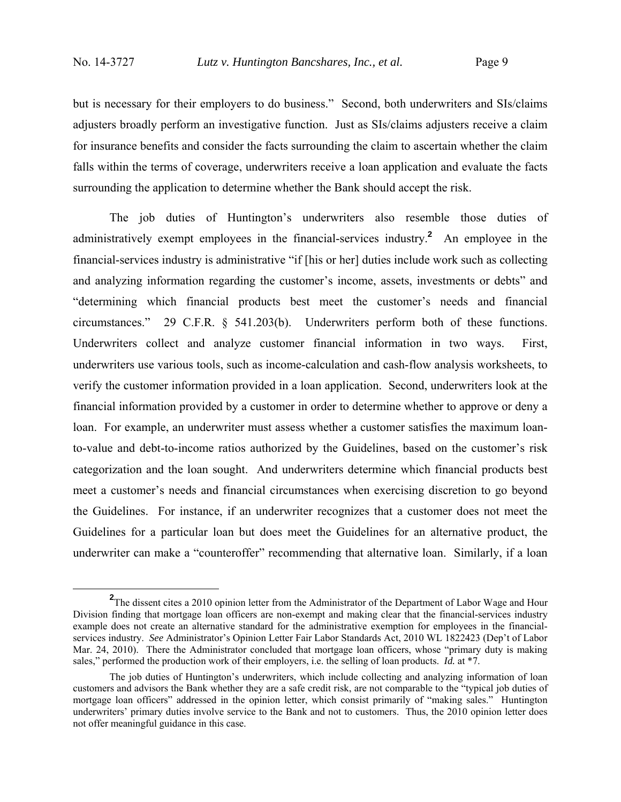but is necessary for their employers to do business." Second, both underwriters and SIs/claims adjusters broadly perform an investigative function. Just as SIs/claims adjusters receive a claim for insurance benefits and consider the facts surrounding the claim to ascertain whether the claim falls within the terms of coverage, underwriters receive a loan application and evaluate the facts surrounding the application to determine whether the Bank should accept the risk.

The job duties of Huntington's underwriters also resemble those duties of administratively exempt employees in the financial-services industry.**<sup>2</sup>** An employee in the financial-services industry is administrative "if [his or her] duties include work such as collecting and analyzing information regarding the customer's income, assets, investments or debts" and "determining which financial products best meet the customer's needs and financial circumstances." 29 C.F.R. § 541.203(b). Underwriters perform both of these functions. Underwriters collect and analyze customer financial information in two ways. First, underwriters use various tools, such as income-calculation and cash-flow analysis worksheets, to verify the customer information provided in a loan application. Second, underwriters look at the financial information provided by a customer in order to determine whether to approve or deny a loan. For example, an underwriter must assess whether a customer satisfies the maximum loanto-value and debt-to-income ratios authorized by the Guidelines, based on the customer's risk categorization and the loan sought. And underwriters determine which financial products best meet a customer's needs and financial circumstances when exercising discretion to go beyond the Guidelines. For instance, if an underwriter recognizes that a customer does not meet the Guidelines for a particular loan but does meet the Guidelines for an alternative product, the underwriter can make a "counteroffer" recommending that alternative loan. Similarly, if a loan

**<sup>2</sup>** <sup>2</sup>The dissent cites a 2010 opinion letter from the Administrator of the Department of Labor Wage and Hour Division finding that mortgage loan officers are non-exempt and making clear that the financial-services industry example does not create an alternative standard for the administrative exemption for employees in the financialservices industry. *See* Administrator's Opinion Letter Fair Labor Standards Act, 2010 WL 1822423 (Dep't of Labor Mar. 24, 2010). There the Administrator concluded that mortgage loan officers, whose "primary duty is making sales," performed the production work of their employers, i.e. the selling of loan products. *Id.* at \*7.

The job duties of Huntington's underwriters, which include collecting and analyzing information of loan customers and advisors the Bank whether they are a safe credit risk, are not comparable to the "typical job duties of mortgage loan officers" addressed in the opinion letter, which consist primarily of "making sales." Huntington underwriters' primary duties involve service to the Bank and not to customers. Thus, the 2010 opinion letter does not offer meaningful guidance in this case.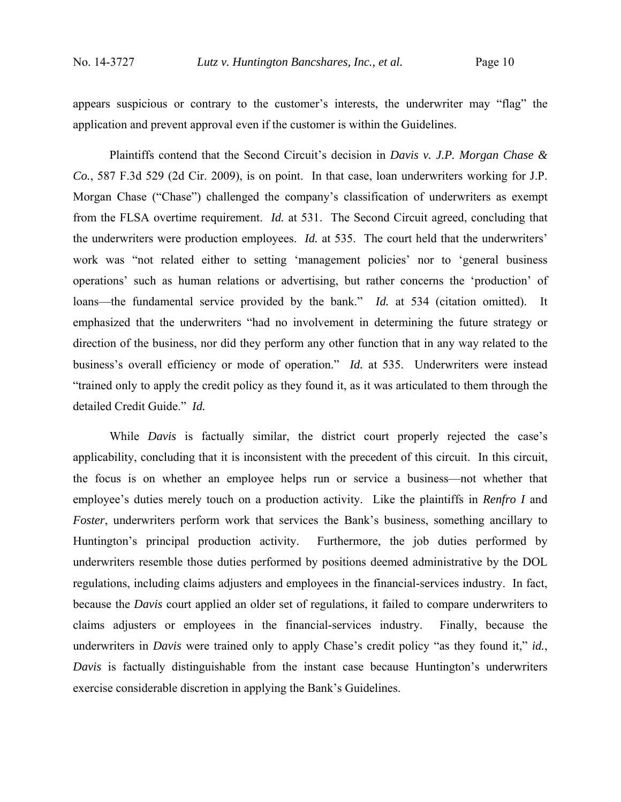appears suspicious or contrary to the customer's interests, the underwriter may "flag" the application and prevent approval even if the customer is within the Guidelines.

Plaintiffs contend that the Second Circuit's decision in *Davis v. J.P. Morgan Chase & Co.*, 587 F.3d 529 (2d Cir. 2009), is on point. In that case, loan underwriters working for J.P. Morgan Chase ("Chase") challenged the company's classification of underwriters as exempt from the FLSA overtime requirement. *Id.* at 531. The Second Circuit agreed, concluding that the underwriters were production employees. *Id.* at 535. The court held that the underwriters' work was "not related either to setting 'management policies' nor to 'general business operations' such as human relations or advertising, but rather concerns the 'production' of loans—the fundamental service provided by the bank." *Id.* at 534 (citation omitted). It emphasized that the underwriters "had no involvement in determining the future strategy or direction of the business, nor did they perform any other function that in any way related to the business's overall efficiency or mode of operation." *Id.* at 535. Underwriters were instead "trained only to apply the credit policy as they found it, as it was articulated to them through the detailed Credit Guide." *Id.*

While *Davis* is factually similar, the district court properly rejected the case's applicability, concluding that it is inconsistent with the precedent of this circuit. In this circuit, the focus is on whether an employee helps run or service a business—not whether that employee's duties merely touch on a production activity. Like the plaintiffs in *Renfro I* and *Foster*, underwriters perform work that services the Bank's business, something ancillary to Huntington's principal production activity. Furthermore, the job duties performed by underwriters resemble those duties performed by positions deemed administrative by the DOL regulations, including claims adjusters and employees in the financial-services industry. In fact, because the *Davis* court applied an older set of regulations, it failed to compare underwriters to claims adjusters or employees in the financial-services industry. Finally, because the underwriters in *Davis* were trained only to apply Chase's credit policy "as they found it," *id.*, *Davis* is factually distinguishable from the instant case because Huntington's underwriters exercise considerable discretion in applying the Bank's Guidelines.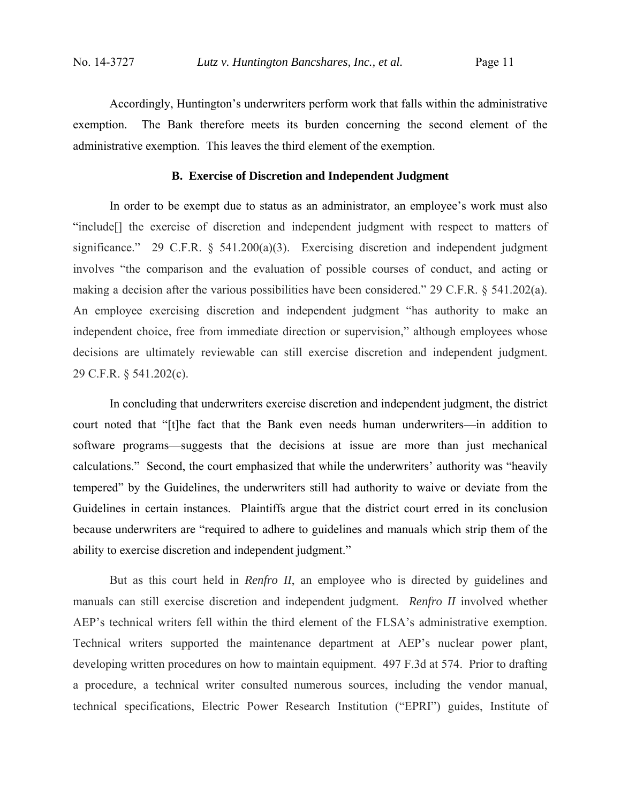Accordingly, Huntington's underwriters perform work that falls within the administrative exemption. The Bank therefore meets its burden concerning the second element of the administrative exemption. This leaves the third element of the exemption.

#### **B. Exercise of Discretion and Independent Judgment**

In order to be exempt due to status as an administrator, an employee's work must also "include[] the exercise of discretion and independent judgment with respect to matters of significance." 29 C.F.R. § 541.200(a)(3). Exercising discretion and independent judgment involves "the comparison and the evaluation of possible courses of conduct, and acting or making a decision after the various possibilities have been considered." 29 C.F.R. § 541.202(a). An employee exercising discretion and independent judgment "has authority to make an independent choice, free from immediate direction or supervision," although employees whose decisions are ultimately reviewable can still exercise discretion and independent judgment. 29 C.F.R. § 541.202(c).

In concluding that underwriters exercise discretion and independent judgment, the district court noted that "[t]he fact that the Bank even needs human underwriters—in addition to software programs—suggests that the decisions at issue are more than just mechanical calculations." Second, the court emphasized that while the underwriters' authority was "heavily tempered" by the Guidelines, the underwriters still had authority to waive or deviate from the Guidelines in certain instances. Plaintiffs argue that the district court erred in its conclusion because underwriters are "required to adhere to guidelines and manuals which strip them of the ability to exercise discretion and independent judgment."

 But as this court held in *Renfro II*, an employee who is directed by guidelines and manuals can still exercise discretion and independent judgment. *Renfro II* involved whether AEP's technical writers fell within the third element of the FLSA's administrative exemption. Technical writers supported the maintenance department at AEP's nuclear power plant, developing written procedures on how to maintain equipment. 497 F.3d at 574. Prior to drafting a procedure, a technical writer consulted numerous sources, including the vendor manual, technical specifications, Electric Power Research Institution ("EPRI") guides, Institute of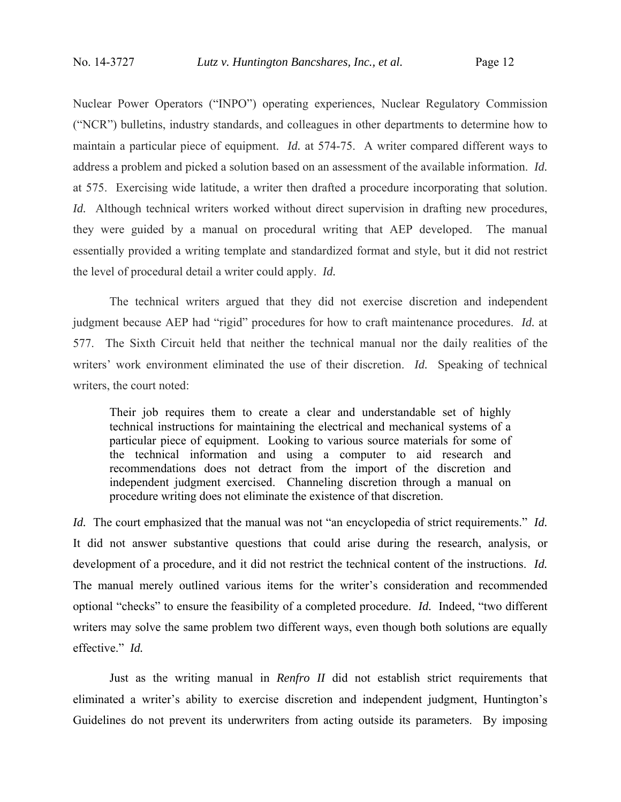Nuclear Power Operators ("INPO") operating experiences, Nuclear Regulatory Commission ("NCR") bulletins, industry standards, and colleagues in other departments to determine how to maintain a particular piece of equipment. *Id.* at 574-75. A writer compared different ways to address a problem and picked a solution based on an assessment of the available information. *Id.* at 575. Exercising wide latitude, a writer then drafted a procedure incorporating that solution. *Id.* Although technical writers worked without direct supervision in drafting new procedures, they were guided by a manual on procedural writing that AEP developed. The manual essentially provided a writing template and standardized format and style, but it did not restrict the level of procedural detail a writer could apply. *Id.* 

The technical writers argued that they did not exercise discretion and independent judgment because AEP had "rigid" procedures for how to craft maintenance procedures. *Id.* at 577. The Sixth Circuit held that neither the technical manual nor the daily realities of the writers' work environment eliminated the use of their discretion. *Id.* Speaking of technical writers, the court noted:

Their job requires them to create a clear and understandable set of highly technical instructions for maintaining the electrical and mechanical systems of a particular piece of equipment. Looking to various source materials for some of the technical information and using a computer to aid research and recommendations does not detract from the import of the discretion and independent judgment exercised. Channeling discretion through a manual on procedure writing does not eliminate the existence of that discretion.

*Id.* The court emphasized that the manual was not "an encyclopedia of strict requirements." *Id.* It did not answer substantive questions that could arise during the research, analysis, or development of a procedure, and it did not restrict the technical content of the instructions. *Id.* The manual merely outlined various items for the writer's consideration and recommended optional "checks" to ensure the feasibility of a completed procedure. *Id.* Indeed, "two different writers may solve the same problem two different ways, even though both solutions are equally effective." *Id.* 

 Just as the writing manual in *Renfro II* did not establish strict requirements that eliminated a writer's ability to exercise discretion and independent judgment, Huntington's Guidelines do not prevent its underwriters from acting outside its parameters. By imposing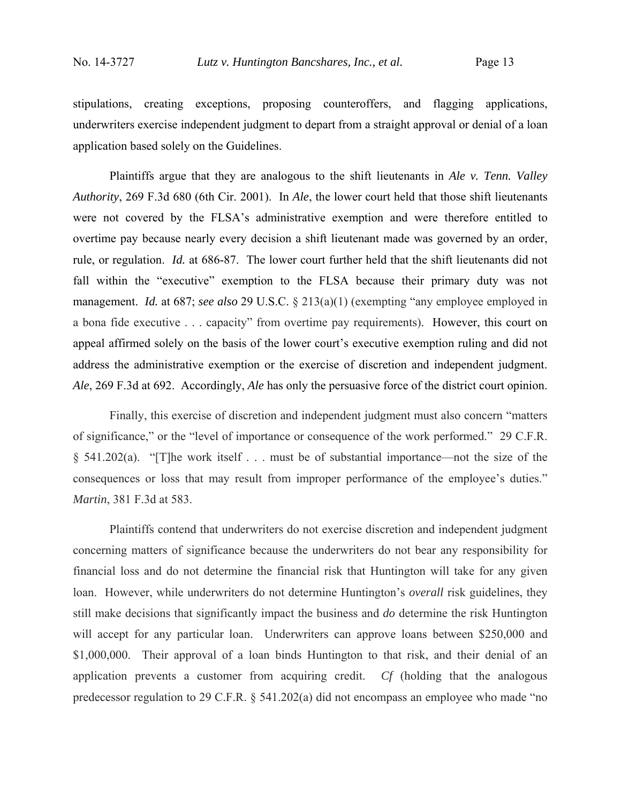stipulations, creating exceptions, proposing counteroffers, and flagging applications, underwriters exercise independent judgment to depart from a straight approval or denial of a loan application based solely on the Guidelines.

Plaintiffs argue that they are analogous to the shift lieutenants in *Ale v. Tenn. Valley Authority*, 269 F.3d 680 (6th Cir. 2001). In *Ale*, the lower court held that those shift lieutenants were not covered by the FLSA's administrative exemption and were therefore entitled to overtime pay because nearly every decision a shift lieutenant made was governed by an order, rule, or regulation. *Id.* at 686-87. The lower court further held that the shift lieutenants did not fall within the "executive" exemption to the FLSA because their primary duty was not management. *Id.* at 687; *see also* 29 U.S.C. § 213(a)(1) (exempting "any employee employed in a bona fide executive . . . capacity" from overtime pay requirements). However, this court on appeal affirmed solely on the basis of the lower court's executive exemption ruling and did not address the administrative exemption or the exercise of discretion and independent judgment. *Ale*, 269 F.3d at 692. Accordingly, *Ale* has only the persuasive force of the district court opinion.

Finally, this exercise of discretion and independent judgment must also concern "matters of significance," or the "level of importance or consequence of the work performed." 29 C.F.R. § 541.202(a). "[T]he work itself . . . must be of substantial importance—not the size of the consequences or loss that may result from improper performance of the employee's duties." *Martin*, 381 F.3d at 583.

Plaintiffs contend that underwriters do not exercise discretion and independent judgment concerning matters of significance because the underwriters do not bear any responsibility for financial loss and do not determine the financial risk that Huntington will take for any given loan. However, while underwriters do not determine Huntington's *overall* risk guidelines, they still make decisions that significantly impact the business and *do* determine the risk Huntington will accept for any particular loan. Underwriters can approve loans between \$250,000 and \$1,000,000. Their approval of a loan binds Huntington to that risk, and their denial of an application prevents a customer from acquiring credit. *Cf* (holding that the analogous predecessor regulation to 29 C.F.R. § 541.202(a) did not encompass an employee who made "no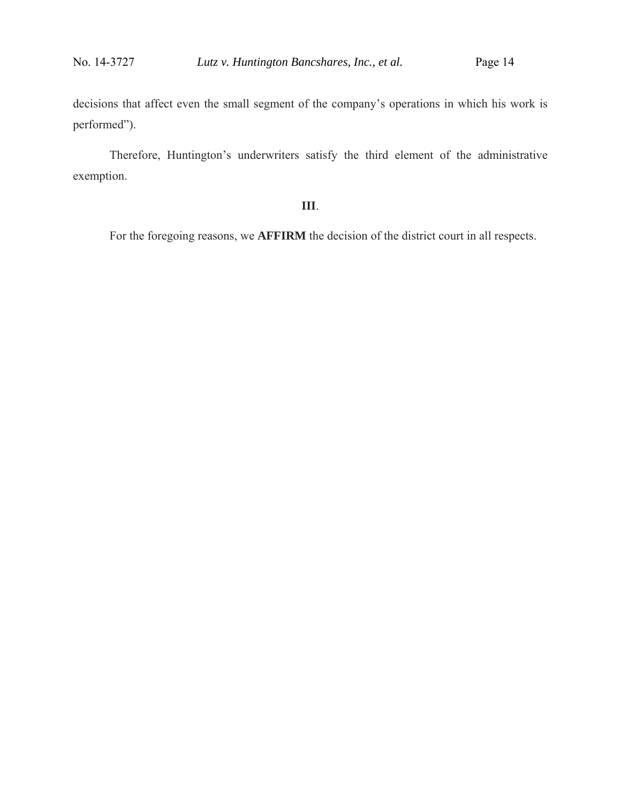decisions that affect even the small segment of the company's operations in which his work is performed").

Therefore, Huntington's underwriters satisfy the third element of the administrative exemption.

### **III**.

For the foregoing reasons, we **AFFIRM** the decision of the district court in all respects.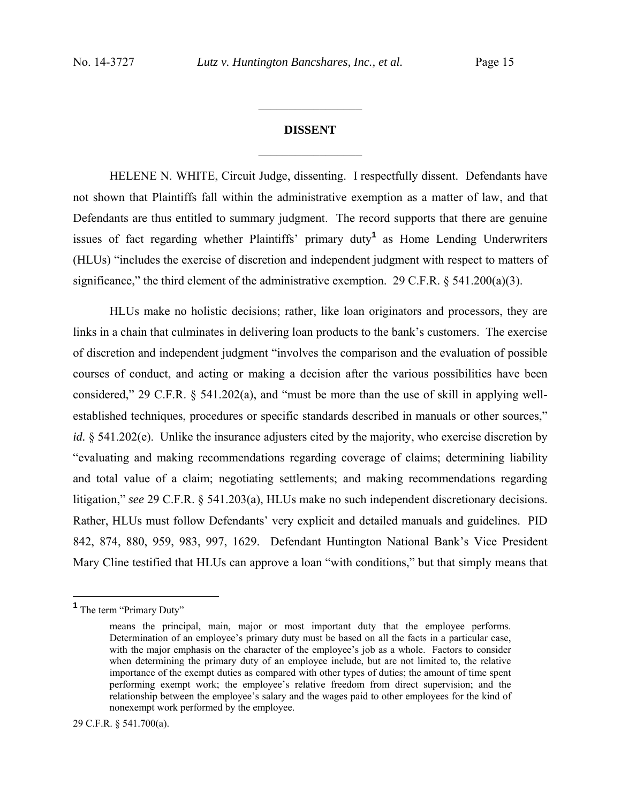# **DISSENT**   $\frac{1}{2}$  ,  $\frac{1}{2}$  ,  $\frac{1}{2}$  ,  $\frac{1}{2}$  ,  $\frac{1}{2}$  ,  $\frac{1}{2}$  ,  $\frac{1}{2}$  ,  $\frac{1}{2}$

 $\frac{1}{2}$  ,  $\frac{1}{2}$  ,  $\frac{1}{2}$  ,  $\frac{1}{2}$  ,  $\frac{1}{2}$  ,  $\frac{1}{2}$  ,  $\frac{1}{2}$  ,  $\frac{1}{2}$ 

HELENE N. WHITE, Circuit Judge, dissenting. I respectfully dissent. Defendants have not shown that Plaintiffs fall within the administrative exemption as a matter of law, and that Defendants are thus entitled to summary judgment. The record supports that there are genuine issues of fact regarding whether Plaintiffs' primary duty**<sup>1</sup>** as Home Lending Underwriters (HLUs) "includes the exercise of discretion and independent judgment with respect to matters of significance," the third element of the administrative exemption. 29 C.F.R.  $\S$  541.200(a)(3).

HLUs make no holistic decisions; rather, like loan originators and processors, they are links in a chain that culminates in delivering loan products to the bank's customers. The exercise of discretion and independent judgment "involves the comparison and the evaluation of possible courses of conduct, and acting or making a decision after the various possibilities have been considered," 29 C.F.R. § 541.202(a), and "must be more than the use of skill in applying wellestablished techniques, procedures or specific standards described in manuals or other sources," *id.* § 541.202(e). Unlike the insurance adjusters cited by the majority, who exercise discretion by "evaluating and making recommendations regarding coverage of claims; determining liability and total value of a claim; negotiating settlements; and making recommendations regarding litigation," *see* 29 C.F.R. § 541.203(a), HLUs make no such independent discretionary decisions. Rather, HLUs must follow Defendants' very explicit and detailed manuals and guidelines. PID 842, 874, 880, 959, 983, 997, 1629. Defendant Huntington National Bank's Vice President Mary Cline testified that HLUs can approve a loan "with conditions," but that simply means that

 $\overline{a}$ 

<sup>&</sup>lt;sup>1</sup> The term "Primary Duty"

means the principal, main, major or most important duty that the employee performs. Determination of an employee's primary duty must be based on all the facts in a particular case, with the major emphasis on the character of the employee's job as a whole. Factors to consider when determining the primary duty of an employee include, but are not limited to, the relative importance of the exempt duties as compared with other types of duties; the amount of time spent performing exempt work; the employee's relative freedom from direct supervision; and the relationship between the employee's salary and the wages paid to other employees for the kind of nonexempt work performed by the employee.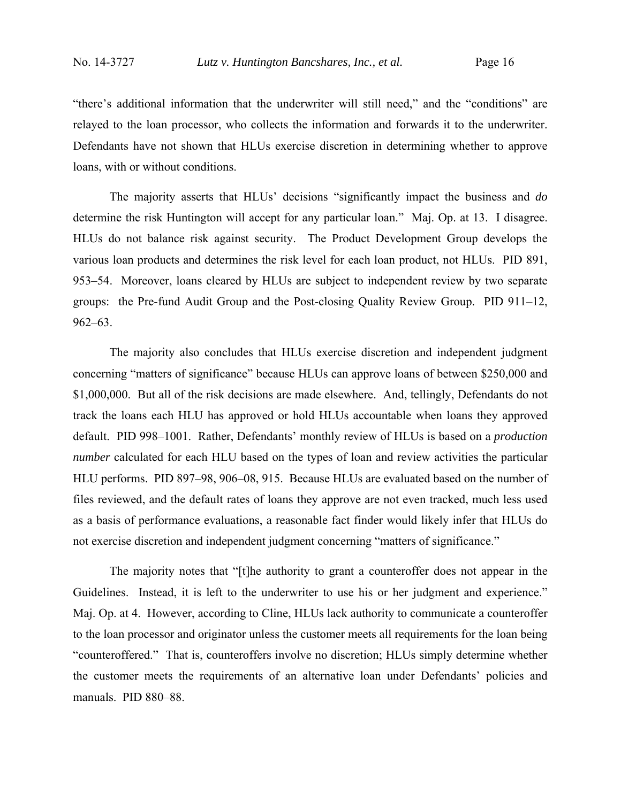"there's additional information that the underwriter will still need," and the "conditions" are relayed to the loan processor, who collects the information and forwards it to the underwriter. Defendants have not shown that HLUs exercise discretion in determining whether to approve loans, with or without conditions.

The majority asserts that HLUs' decisions "significantly impact the business and *do* determine the risk Huntington will accept for any particular loan." Maj. Op. at 13. I disagree. HLUs do not balance risk against security. The Product Development Group develops the various loan products and determines the risk level for each loan product, not HLUs. PID 891, 953–54. Moreover, loans cleared by HLUs are subject to independent review by two separate groups: the Pre-fund Audit Group and the Post-closing Quality Review Group. PID 911–12, 962–63.

The majority also concludes that HLUs exercise discretion and independent judgment concerning "matters of significance" because HLUs can approve loans of between \$250,000 and \$1,000,000. But all of the risk decisions are made elsewhere. And, tellingly, Defendants do not track the loans each HLU has approved or hold HLUs accountable when loans they approved default. PID 998–1001. Rather, Defendants' monthly review of HLUs is based on a *production number* calculated for each HLU based on the types of loan and review activities the particular HLU performs. PID 897–98, 906–08, 915. Because HLUs are evaluated based on the number of files reviewed, and the default rates of loans they approve are not even tracked, much less used as a basis of performance evaluations, a reasonable fact finder would likely infer that HLUs do not exercise discretion and independent judgment concerning "matters of significance."

The majority notes that "[t]he authority to grant a counteroffer does not appear in the Guidelines. Instead, it is left to the underwriter to use his or her judgment and experience." Maj. Op. at 4. However, according to Cline, HLUs lack authority to communicate a counteroffer to the loan processor and originator unless the customer meets all requirements for the loan being "counteroffered." That is, counteroffers involve no discretion; HLUs simply determine whether the customer meets the requirements of an alternative loan under Defendants' policies and manuals. PID 880–88.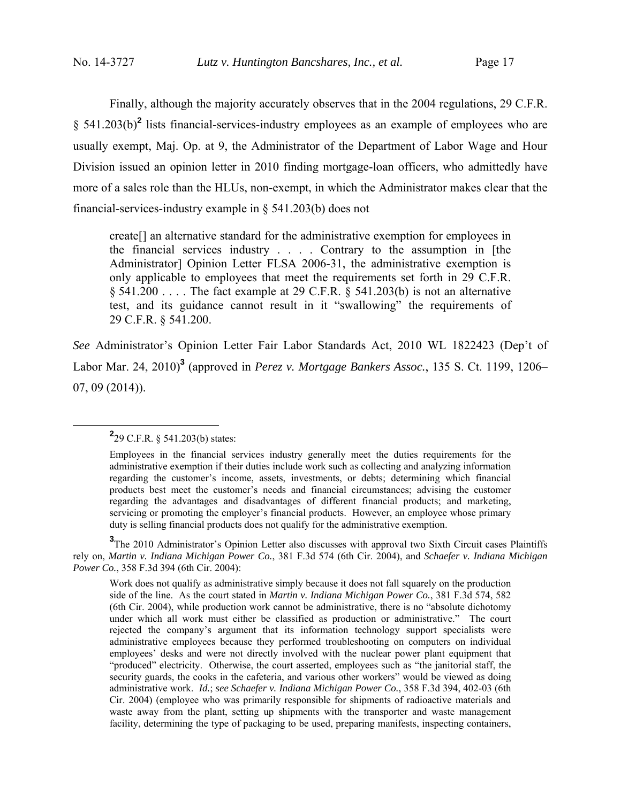Finally, although the majority accurately observes that in the 2004 regulations, 29 C.F.R. § 541.203(b)<sup>2</sup> lists financial-services-industry employees as an example of employees who are usually exempt, Maj. Op. at 9, the Administrator of the Department of Labor Wage and Hour Division issued an opinion letter in 2010 finding mortgage-loan officers, who admittedly have more of a sales role than the HLUs, non-exempt, in which the Administrator makes clear that the financial-services-industry example in § 541.203(b) does not

create[] an alternative standard for the administrative exemption for employees in the financial services industry . . . . Contrary to the assumption in [the Administrator] Opinion Letter FLSA 2006-31, the administrative exemption is only applicable to employees that meet the requirements set forth in 29 C.F.R. § 541.200 . . . . The fact example at 29 C.F.R. § 541.203(b) is not an alternative test, and its guidance cannot result in it "swallowing" the requirements of 29 C.F.R. § 541.200.

*See* Administrator's Opinion Letter Fair Labor Standards Act, 2010 WL 1822423 (Dep't of Labor Mar. 24, 2010)**<sup>3</sup>** (approved in *Perez v. Mortgage Bankers Assoc.*, 135 S. Ct. 1199, 1206– 07, 09 (2014)).

<sup>3</sup>The 2010 Administrator's Opinion Letter also discusses with approval two Sixth Circuit cases Plaintiffs rely on, *Martin v. Indiana Michigan Power Co.*, 381 F.3d 574 (6th Cir. 2004), and *Schaefer v. Indiana Michigan Power Co.*, 358 F.3d 394 (6th Cir. 2004):

Work does not qualify as administrative simply because it does not fall squarely on the production side of the line. As the court stated in *Martin v. Indiana Michigan Power Co.*, 381 F.3d 574, 582 (6th Cir. 2004), while production work cannot be administrative, there is no "absolute dichotomy under which all work must either be classified as production or administrative." The court rejected the company's argument that its information technology support specialists were administrative employees because they performed troubleshooting on computers on individual employees' desks and were not directly involved with the nuclear power plant equipment that "produced" electricity. Otherwise, the court asserted, employees such as "the janitorial staff, the security guards, the cooks in the cafeteria, and various other workers" would be viewed as doing administrative work. *Id.*; *see Schaefer v. Indiana Michigan Power Co.*, 358 F.3d 394, 402-03 (6th Cir. 2004) (employee who was primarily responsible for shipments of radioactive materials and waste away from the plant, setting up shipments with the transporter and waste management facility, determining the type of packaging to be used, preparing manifests, inspecting containers,

**<sup>2</sup>**  $2^{2}$ 29 C.F.R. § 541.203(b) states:

Employees in the financial services industry generally meet the duties requirements for the administrative exemption if their duties include work such as collecting and analyzing information regarding the customer's income, assets, investments, or debts; determining which financial products best meet the customer's needs and financial circumstances; advising the customer regarding the advantages and disadvantages of different financial products; and marketing, servicing or promoting the employer's financial products. However, an employee whose primary duty is selling financial products does not qualify for the administrative exemption.